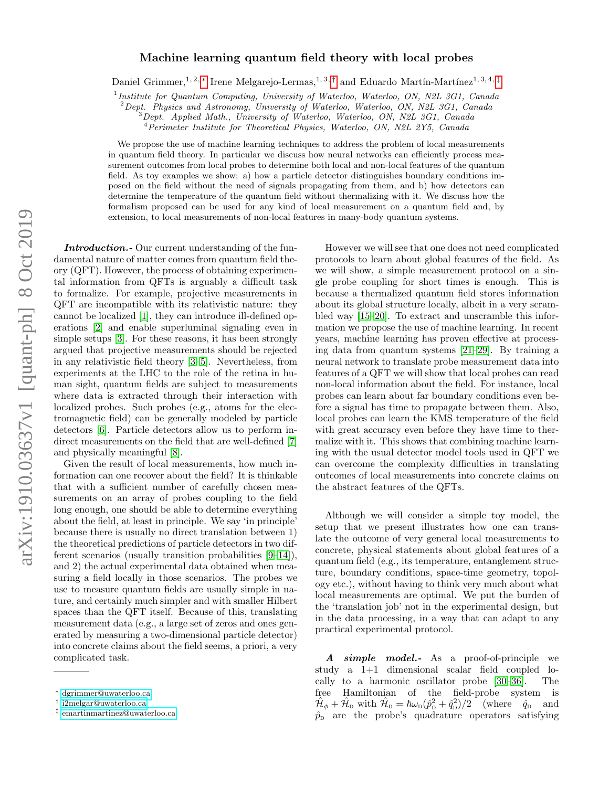# arXiv:1910.03637v1 [quant-ph] 8 Oct 2019 arXiv:1910.03637v1 [quant-ph] 8 Oct 2019

# Machine learning quantum field theory with local probes

Daniel Grimmer,<sup>1, 2,</sup> [∗](#page-0-0) Irene Melgarejo-Lermas,<sup>1, 3,[†](#page-0-1)</sup> and Eduardo Martín-Martínez<sup>1, 3, 4,[‡](#page-0-2)</sup>

<sup>1</sup> Institute for Quantum Computing, University of Waterloo, Waterloo, ON, N2L 3G1, Canada

<sup>2</sup>Dept. Physics and Astronomy, University of Waterloo, Waterloo, ON, N2L 3G1, Canada

 $3$ Dept. Applied Math., University of Waterloo, Waterloo, ON, N2L 3G1, Canada

<sup>4</sup>Perimeter Institute for Theoretical Physics, Waterloo, ON, N2L 2Y5, Canada

We propose the use of machine learning techniques to address the problem of local measurements in quantum field theory. In particular we discuss how neural networks can efficiently process measurement outcomes from local probes to determine both local and non-local features of the quantum field. As toy examples we show: a) how a particle detector distinguishes boundary conditions imposed on the field without the need of signals propagating from them, and b) how detectors can determine the temperature of the quantum field without thermalizing with it. We discuss how the formalism proposed can be used for any kind of local measurement on a quantum field and, by extension, to local measurements of non-local features in many-body quantum systems.

Introduction. Our current understanding of the fundamental nature of matter comes from quantum field theory (QFT). However, the process of obtaining experimental information from QFTs is arguably a difficult task to formalize. For example, projective measurements in QFT are incompatible with its relativistic nature: they cannot be localized [\[1\]](#page-7-0), they can introduce ill-defined operations [\[2\]](#page-7-1) and enable superluminal signaling even in simple setups [\[3\]](#page-7-2). For these reasons, it has been strongly argued that projective measurements should be rejected in any relativistic field theory [\[3–](#page-7-2)[5\]](#page-7-3). Nevertheless, from experiments at the LHC to the role of the retina in human sight, quantum fields are subject to measurements where data is extracted through their interaction with localized probes. Such probes (e.g., atoms for the electromagnetic field) can be generally modeled by particle detectors [\[6\]](#page-7-4). Particle detectors allow us to perform in-direct measurements on the field that are well-defined [\[7\]](#page-7-5) and physically meaningful [\[8\]](#page-7-6).

Given the result of local measurements, how much information can one recover about the field? It is thinkable that with a sufficient number of carefully chosen measurements on an array of probes coupling to the field long enough, one should be able to determine everything about the field, at least in principle. We say 'in principle' because there is usually no direct translation between 1) the theoretical predictions of particle detectors in two different scenarios (usually transition probabilities [\[9–](#page-7-7)[14\]](#page-7-8)), and 2) the actual experimental data obtained when measuring a field locally in those scenarios. The probes we use to measure quantum fields are usually simple in nature, and certainly much simpler and with smaller Hilbert spaces than the QFT itself. Because of this, translating measurement data (e.g., a large set of zeros and ones generated by measuring a two-dimensional particle detector) into concrete claims about the field seems, a priori, a very complicated task.

However we will see that one does not need complicated protocols to learn about global features of the field. As we will show, a simple measurement protocol on a single probe coupling for short times is enough. This is because a thermalized quantum field stores information about its global structure locally, albeit in a very scrambled way [\[15–](#page-7-9)[20\]](#page-7-10). To extract and unscramble this information we propose the use of machine learning. In recent years, machine learning has proven effective at processing data from quantum systems [\[21](#page-7-11)[–29\]](#page-8-0). By training a neural network to translate probe measurement data into features of a QFT we will show that local probes can read non-local information about the field. For instance, local probes can learn about far boundary conditions even before a signal has time to propagate between them. Also, local probes can learn the KMS temperature of the field with great accuracy even before they have time to thermalize with it. This shows that combining machine learning with the usual detector model tools used in QFT we can overcome the complexity difficulties in translating outcomes of local measurements into concrete claims on the abstract features of the QFTs.

Although we will consider a simple toy model, the setup that we present illustrates how one can translate the outcome of very general local measurements to concrete, physical statements about global features of a quantum field (e.g., its temperature, entanglement structure, boundary conditions, space-time geometry, topology etc.), without having to think very much about what local measurements are optimal. We put the burden of the 'translation job' not in the experimental design, but in the data processing, in a way that can adapt to any practical experimental protocol.

A simple model.- As a proof-of-principle we study a 1+1 dimensional scalar field coupled locally to a harmonic oscillator probe [\[30](#page-8-1)[–36\]](#page-8-2). The free Hamiltonian of the field-probe system is  $\hat{\mathcal{H}}_{\phi} + \hat{\mathcal{H}}_{\text{D}}$  with  $\hat{\mathcal{H}}_{\text{D}} = \hbar \omega_{\text{D}} (\hat{p}_{\text{D}}^2 + \hat{q}_{\text{D}}^2)/2$  (where  $\hat{q}_{\text{D}}$  and  $\hat{p}_{\rm p}$  are the probe's quadrature operators satisfying

<span id="page-0-0"></span><sup>∗</sup> [dgrimmer@uwaterloo.ca](mailto:dgrimmer@uwaterloo.ca)

<span id="page-0-1"></span><sup>†</sup> [i2melgar@uwaterloo.ca](mailto:i2melgar@uwaterloo.ca)

<span id="page-0-2"></span><sup>‡</sup> [emartinmartinez@uwaterloo.ca](mailto:emartinmartinez@uwaterloo.ca)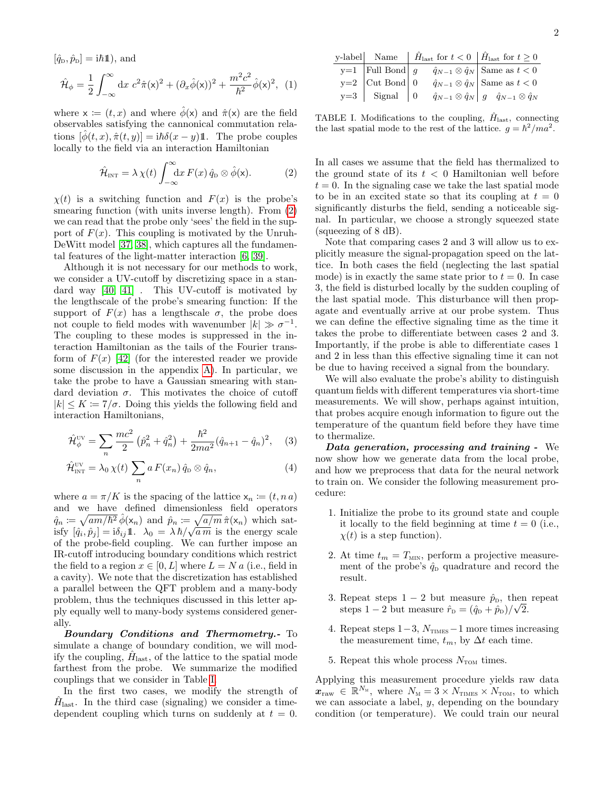$$
[\hat{q}_{\text{D}}, \hat{p}_{\text{D}}] = i\hbar \mathbb{1}), \text{ and}
$$

$$
\hat{\mathcal{H}}_{\phi} = \frac{1}{2} \int_{-\infty}^{\infty} dx \ c^2 \hat{\pi}(x)^2 + (\partial_x \hat{\phi}(x))^2 + \frac{m^2 c^2}{\hbar^2} \hat{\phi}(x)^2, \tag{1}
$$

where  $x := (t, x)$  and where  $\phi(x)$  and  $\hat{\pi}(x)$  are the field observables satisfying the cannonical commutation relations  $[\phi(t, x), \hat{\pi}(t, y)] = i\hbar\delta(x - y)1$ . The probe couples locally to the field via an interaction Hamiltonian

$$
\hat{\mathcal{H}}_{\text{INT}} = \lambda \,\chi(t) \int_{-\infty}^{\infty} dx \, F(x) \, \hat{q}_{\text{D}} \otimes \hat{\phi}(\mathsf{x}). \tag{2}
$$

 $\chi(t)$  is a switching function and  $F(x)$  is the probe's smearing function (with units inverse length). From [\(2\)](#page-1-0) we can read that the probe only 'sees' the field in the support of  $F(x)$ . This coupling is motivated by the Unruh-DeWitt model [\[37,](#page-8-3) [38\]](#page-8-4), which captures all the fundamental features of the light-matter interaction [\[6,](#page-7-4) [39\]](#page-8-5).

Although it is not necessary for our methods to work, we consider a UV-cutoff by discretizing space in a standard way [\[40,](#page-8-6) [41\]](#page-8-7) . This UV-cutoff is motivated by the lengthscale of the probe's smearing function: If the support of  $F(x)$  has a lengthscale  $\sigma$ , the probe does not couple to field modes with wavenumber  $|k| \gg \sigma^{-1}$ . The coupling to these modes is suppressed in the interaction Hamiltonian as the tails of the Fourier transform of  $F(x)$  [\[42\]](#page-8-8) (for the interested reader we provide some discussion in the appendix [A\)](#page-4-0). In particular, we take the probe to have a Gaussian smearing with standard deviation  $\sigma$ . This motivates the choice of cutoff  $|k| \leq K := 7/\sigma$ . Doing this yields the following field and interaction Hamiltonians,

$$
\hat{\mathcal{H}}_{\phi}^{\text{UV}} = \sum_{n} \frac{mc^2}{2} \left( \hat{p}_n^2 + \hat{q}_n^2 \right) + \frac{\hbar^2}{2ma^2} (\hat{q}_{n+1} - \hat{q}_n)^2, \quad (3)
$$

$$
\hat{\mathcal{H}}^{\text{UV}}_{\text{INT}} = \lambda_0 \,\chi(t) \sum_n a \, F(x_n) \, \hat{q}_D \otimes \hat{q}_n,\tag{4}
$$

where  $a = \pi/K$  is the spacing of the lattice  $x_n \coloneqq (t, n a)$ and we have defined dimensionless field operators  $\hat{q}_n \coloneqq \sqrt{am/\hbar^2} \,\hat{\phi}(\mathsf{x}_n)$  and  $\hat{p}_n \coloneqq \sqrt{a/m} \,\hat{\pi}(\mathsf{x}_n)$  which sat $q_n \coloneqq \sqrt{a_n} \eta_n \coloneqq \sqrt{a_1} \eta_n \left( \frac{\mathbf{x}_n}{\mathbf{x}_n} \right)$  which satisfy  $[\hat{q}_i, \hat{p}_j] = \mathbf{i} \delta_{ij} \mathbf{1}$ .  $\lambda_0 = \lambda \hbar / \sqrt{a_m}$  is the energy scale of the probe-field coupling. We can further impose an IR-cutoff introducing boundary conditions which restrict the field to a region  $x \in [0, L]$  where  $L = N a$  (i.e., field in a cavity). We note that the discretization has established a parallel between the QFT problem and a many-body problem, thus the techniques discussed in this letter apply equally well to many-body systems considered generally.

Boundary Conditions and Thermometry.- To simulate a change of boundary condition, we will modify the coupling,  $\hat{H}_{\text{last}}$ , of the lattice to the spatial mode farthest from the probe. We summarize the modified couplings that we consider in Table [I.](#page-1-1)

In the first two cases, we modify the strength of  $\hat{H}_{\text{last}}$ . In the third case (signaling) we consider a timedependent coupling which turns on suddenly at  $t = 0$ .

<span id="page-1-1"></span>TABLE I. Modifications to the coupling,  $H_{\text{last}}$ , connecting the last spatial mode to the rest of the lattice.  $g = \hbar^2 / ma^2$ .

<span id="page-1-0"></span>In all cases we assume that the field has thermalized to the ground state of its  $t < 0$  Hamiltonian well before  $t = 0$ . In the signaling case we take the last spatial mode to be in an excited state so that its coupling at  $t = 0$ significantly disturbs the field, sending a noticeable signal. In particular, we choose a strongly squeezed state (squeezing of 8 dB).

Note that comparing cases 2 and 3 will allow us to explicitly measure the signal-propagation speed on the lattice. In both cases the field (neglecting the last spatial mode) is in exactly the same state prior to  $t = 0$ . In case 3, the field is disturbed locally by the sudden coupling of the last spatial mode. This disturbance will then propagate and eventually arrive at our probe system. Thus we can define the effective signaling time as the time it takes the probe to differentiate between cases 2 and 3. Importantly, if the probe is able to differentiate cases 1 and 2 in less than this effective signaling time it can not be due to having received a signal from the boundary.

We will also evaluate the probe's ability to distinguish quantum fields with different temperatures via short-time measurements. We will show, perhaps against intuition, that probes acquire enough information to figure out the temperature of the quantum field before they have time to thermalize.

Data generation, processing and training - We now show how we generate data from the local probe, and how we preprocess that data for the neural network to train on. We consider the following measurement procedure:

- 1. Initialize the probe to its ground state and couple it locally to the field beginning at time  $t = 0$  (i.e.,  $\chi(t)$  is a step function).
- 2. At time  $t_m = T_{\text{MIN}}$ , perform a projective measurement of the probe's  $\hat{q}_D$  quadrature and record the result.
- 3. Repeat steps  $1-2$  but measure  $\hat{p}_D$ , then repeat steps 1 – 2 but measure  $\hat{r}_{\rm p} = (\hat{q}_{\rm p} + \hat{p}_{\rm p})/\sqrt{2}$ .
- 4. Repeat steps  $1-3$ ,  $N<sub>TIMES</sub> 1$  more times increasing the measurement time,  $t_m$ , by  $\Delta t$  each time.
- 5. Repeat this whole process  $N_{\text{TON}}$  times.

Applying this measurement procedure yields raw data  $\boldsymbol{x}_{\text{raw}} \in \mathbb{R}^{N_{\text{M}}}$ , where  $N_{\text{M}} = 3 \times N_{\text{TIMES}} \times N_{\text{TOM}}$ , to which we can associate a label,  $y$ , depending on the boundary condition (or temperature). We could train our neural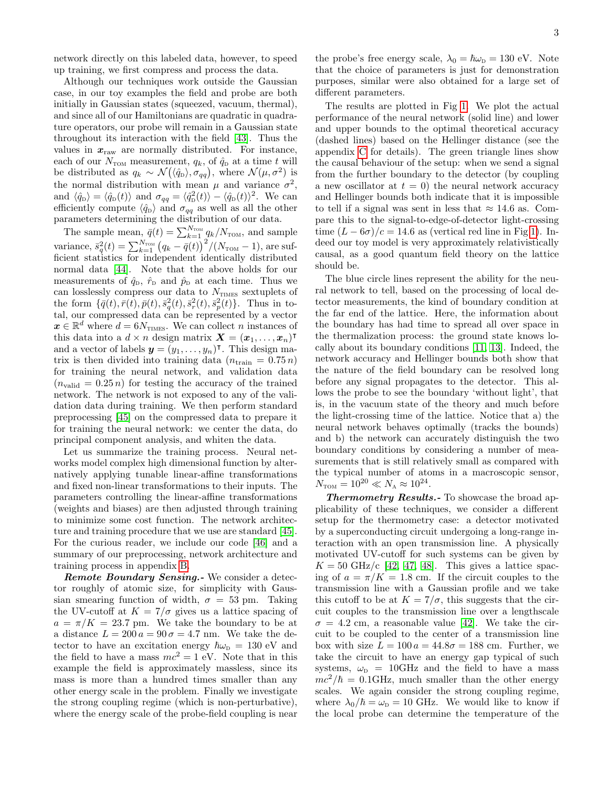network directly on this labeled data, however, to speed up training, we first compress and process the data.

Although our techniques work outside the Gaussian case, in our toy examples the field and probe are both initially in Gaussian states (squeezed, vacuum, thermal), and since all of our Hamiltonians are quadratic in quadrature operators, our probe will remain in a Gaussian state throughout its interaction with the field [\[43\]](#page-8-9). Thus the values in  $x_{\text{raw}}$  are normally distributed. For instance, each of our  $N_{\text{TON}}$  measurement,  $q_k$ , of  $\hat{q}_D$  at a time t will be distributed as  $q_k \sim \mathcal{N}(\langle \hat{q}_D \rangle, \sigma_{qq}),$  where  $\mathcal{N}(\mu, \sigma^2)$  is the normal distribution with mean  $\mu$  and variance  $\sigma^2$ , and  $\langle \hat{q}_{\rm D} \rangle = \langle \hat{q}_{\rm D}(t) \rangle$  and  $\sigma_{qq} = \langle \hat{q}_{\rm D}^2(t) \rangle - \langle \hat{q}_{\rm D}(t) \rangle^2$ . We can efficiently compute  $\langle \hat{q}_{\rm D} \rangle$  and  $\sigma_{qq}$  as well as all the other parameters determining the distribution of our data.

The sample mean,  $\bar{q}(t) = \sum_{k=1}^{N_{\text{TOM}}} q_k / N_{\text{TOM}}$ , and sample variance,  $\bar{s}_q^2(t) = \sum_{k=1}^{N_{\rm TOM}} \big(q_k - \bar{q}(t)\big)^2/(N_{\rm TOM} - 1),$  are sufficient statistics for independent identically distributed normal data [\[44\]](#page-8-10). Note that the above holds for our measurements of  $\hat{q}_{\text{D}}$ ,  $\hat{r}_{\text{D}}$  and  $\hat{p}_{\text{D}}$  at each time. Thus we can losslessly compress our data to  $N_{\text{TIMES}}$  sextuplets of the form  $\{\bar{q}(t), \bar{r}(t), \bar{p}(t), \bar{s}_q^2(t), \bar{s}_r^2(t), \bar{s}_p^2(t)\}$ . Thus in total, our compressed data can be represented by a vector  $x \in \mathbb{R}^d$  where  $d = 6N_{\text{TIMES}}$ . We can collect n instances of this data into a  $d \times n$  design matrix  $\boldsymbol{X} = (\boldsymbol{x}_1, \dots, \boldsymbol{x}_n)^\intercal$ and a vector of labels  $\mathbf{y} = (y_1, \ldots, y_n)^\intercal$ . This design matrix is then divided into training data  $(n_{\text{train}} = 0.75 n)$ for training the neural network, and validation data  $(n_{\text{valid}} = 0.25 n)$  for testing the accuracy of the trained network. The network is not exposed to any of the validation data during training. We then perform standard preprocessing [\[45\]](#page-8-11) on the compressed data to prepare it for training the neural network: we center the data, do principal component analysis, and whiten the data.

Let us summarize the training process. Neural networks model complex high dimensional function by alternatively applying tunable linear-affine transformations and fixed non-linear transformations to their inputs. The parameters controlling the linear-affine transformations (weights and biases) are then adjusted through training to minimize some cost function. The network architecture and training procedure that we use are standard [\[45\]](#page-8-11). For the curious reader, we include our code [\[46\]](#page-8-12) and a summary of our preprocessing, network architecture and training process in appendix [B.](#page-5-0)

Remote Boundary Sensing. We consider a detector roughly of atomic size, for simplicity with Gaussian smearing function of width,  $\sigma = 53$  pm. Taking the UV-cutoff at  $K = 7/\sigma$  gives us a lattice spacing of  $a = \pi/K = 23.7$  pm. We take the boundary to be at a distance  $L = 200 a = 90 \sigma = 4.7$  nm. We take the detector to have an excitation energy  $\hbar\omega_{\rm p} = 130 \text{ eV}$  and the field to have a mass  $mc^2 = 1$  eV. Note that in this example the field is approximately massless, since its mass is more than a hundred times smaller than any other energy scale in the problem. Finally we investigate the strong coupling regime (which is non-perturbative), where the energy scale of the probe-field coupling is near

the probe's free energy scale,  $\lambda_0 = \hbar \omega_{\rm D} = 130 \text{ eV}$ . Note that the choice of parameters is just for demonstration purposes, similar were also obtained for a large set of different parameters.

The results are plotted in Fig [1.](#page-3-0) We plot the actual performance of the neural network (solid line) and lower and upper bounds to the optimal theoretical accuracy (dashed lines) based on the Hellinger distance (see the appendix [C](#page-6-0) for details). The green triangle lines show the causal behaviour of the setup: when we send a signal from the further boundary to the detector (by coupling a new oscillator at  $t = 0$ ) the neural network accuracy and Hellinger bounds both indicate that it is impossible to tell if a signal was sent in less that  $\approx 14.6$  as. Compare this to the signal-to-edge-of-detector light-crossing time  $(L - 6\sigma)/c = 14.6$  as (vertical red line in Fig [1\)](#page-3-0). Indeed our toy model is very approximately relativistically causal, as a good quantum field theory on the lattice should be.

The blue circle lines represent the ability for the neural network to tell, based on the processing of local detector measurements, the kind of boundary condition at the far end of the lattice. Here, the information about the boundary has had time to spread all over space in the thermalization process: the ground state knows locally about its boundary conditions [\[11,](#page-7-12) [13\]](#page-7-13). Indeed, the network accuracy and Hellinger bounds both show that the nature of the field boundary can be resolved long before any signal propagates to the detector. This allows the probe to see the boundary 'without light', that is, in the vacuum state of the theory and much before the light-crossing time of the lattice. Notice that a) the neural network behaves optimally (tracks the bounds) and b) the network can accurately distinguish the two boundary conditions by considering a number of measurements that is still relatively small as compared with the typical number of atoms in a macroscopic sensor,  $N_{\text{TOM}} = 10^{20} \ll N_{\text{A}} \approx 10^{24}.$ 

Thermometry Results.- To showcase the broad applicability of these techniques, we consider a different setup for the thermometry case: a detector motivated by a superconducting circuit undergoing a long-range interaction with an open transmission line. A physically motivated UV-cutoff for such systems can be given by  $K = 50$  GHz/c [\[42,](#page-8-8) [47,](#page-8-13) [48\]](#page-8-14). This gives a lattice spacing of  $a = \pi/K = 1.8$  cm. If the circuit couples to the transmission line with a Gaussian profile and we take this cutoff to be at  $K = 7/\sigma$ , this suggests that the circuit couples to the transmission line over a lengthscale  $\sigma = 4.2$  cm, a reasonable value [\[42\]](#page-8-8). We take the circuit to be coupled to the center of a transmission line box with size  $L = 100 a = 44.8\sigma = 188$  cm. Further, we take the circuit to have an energy gap typical of such systems,  $\omega_{\rm p}$  = 10GHz and the field to have a mass  $mc^2/\hbar = 0.1$ GHz, much smaller than the other energy scales. We again consider the strong coupling regime, where  $\lambda_0/\hbar = \omega_{\rm D} = 10$  GHz. We would like to know if the local probe can determine the temperature of the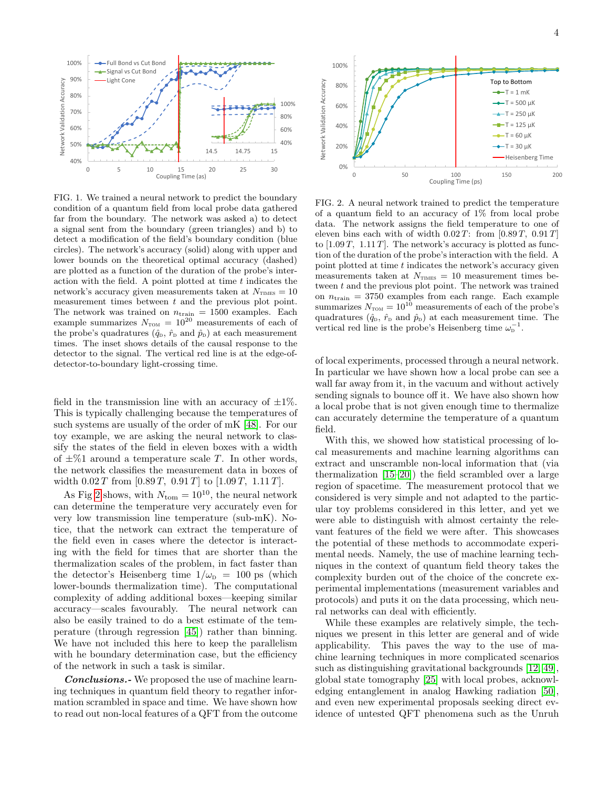

<span id="page-3-0"></span>FIG. 1. We trained a neural network to predict the boundary condition of a quantum field from local probe data gathered far from the boundary. The network was asked a) to detect a signal sent from the boundary (green triangles) and b) to detect a modification of the field's boundary condition (blue circles). The network's accuracy (solid) along with upper and lower bounds on the theoretical optimal accuracy (dashed) are plotted as a function of the duration of the probe's interaction with the field. A point plotted at time  $t$  indicates the network's accuracy given measurements taken at  $N_{\text{mNS}} = 10$ measurement times between t and the previous plot point. The network was trained on  $n_{\text{train}} = 1500$  examples. Each example summarizes  $N_{\text{TOM}} = 10^{20}$  measurements of each of the probe's quadratures  $(\hat{q}_D, \hat{r}_D, \hat{p}_D)$  at each measurement times. The inset shows details of the causal response to the detector to the signal. The vertical red line is at the edge-ofdetector-to-boundary light-crossing time.

field in the transmission line with an accuracy of  $\pm 1\%$ . This is typically challenging because the temperatures of such systems are usually of the order of mK [\[48\]](#page-8-14). For our toy example, we are asking the neural network to classify the states of the field in eleven boxes with a width of  $\pm\%1$  around a temperature scale T. In other words, the network classifies the measurement data in boxes of width  $0.02 T$  from  $[0.89 T, 0.91 T]$  to  $[1.09 T, 1.11 T]$ .

As Fig [2](#page-3-1) shows, with  $N_{\text{tom}} = 10^{10}$ , the neural network can determine the temperature very accurately even for very low transmission line temperature (sub-mK). Notice, that the network can extract the temperature of the field even in cases where the detector is interacting with the field for times that are shorter than the thermalization scales of the problem, in fact faster than the detector's Heisenberg time  $1/\omega_{\rm D} = 100$  ps (which lower-bounds thermalization time). The computational complexity of adding additional boxes—keeping similar accuracy—scales favourably. The neural network can also be easily trained to do a best estimate of the temperature (through regression [\[45\]](#page-8-11)) rather than binning. We have not included this here to keep the parallelism with he boundary determination case, but the efficiency of the network in such a task is similar.

**Conclusions.**- We proposed the use of machine learning techniques in quantum field theory to regather information scrambled in space and time. We have shown how to read out non-local features of a QFT from the outcome



<span id="page-3-1"></span>FIG. 2. A neural network trained to predict the temperature of a quantum field to an accuracy of 1% from local probe data. The network assigns the field temperature to one of eleven bins each with of width  $0.02 T$ : from  $[0.89 T, 0.91 T]$ to  $[1.09 T, 1.11 T]$ . The network's accuracy is plotted as function of the duration of the probe's interaction with the field. A point plotted at time t indicates the network's accuracy given measurements taken at  $N_{\text{TMES}} = 10$  measurement times between t and the previous plot point. The network was trained on  $n_{\text{train}} = 3750$  examples from each range. Each example summarizes  $N_{\text{TOM}} = 10^{10}$  measurements of each of the probe's quadratures  $(\hat{q}_D, \hat{r}_D, \hat{p}_D)$  at each measurement time. The vertical red line is the probe's Heisenberg time  $\omega_{\rm p}^{-1}$ .

of local experiments, processed through a neural network. In particular we have shown how a local probe can see a wall far away from it, in the vacuum and without actively sending signals to bounce off it. We have also shown how a local probe that is not given enough time to thermalize can accurately determine the temperature of a quantum field.

With this, we showed how statistical processing of local measurements and machine learning algorithms can extract and unscramble non-local information that (via thermalization [\[15–](#page-7-9)[20\]](#page-7-10)) the field scrambled over a large region of spacetime. The measurement protocol that we considered is very simple and not adapted to the particular toy problems considered in this letter, and yet we were able to distinguish with almost certainty the relevant features of the field we were after. This showcases the potential of these methods to accommodate experimental needs. Namely, the use of machine learning techniques in the context of quantum field theory takes the complexity burden out of the choice of the concrete experimental implementations (measurement variables and protocols) and puts it on the data processing, which neural networks can deal with efficiently.

While these examples are relatively simple, the techniques we present in this letter are general and of wide applicability. This paves the way to the use of machine learning techniques in more complicated scenarios such as distinguishing gravitational backgrounds [\[12,](#page-7-14) [49\]](#page-8-15), global state tomography [\[25\]](#page-8-16) with local probes, acknowledging entanglement in analog Hawking radiation [\[50\]](#page-8-17), and even new experimental proposals seeking direct evidence of untested QFT phenomena such as the Unruh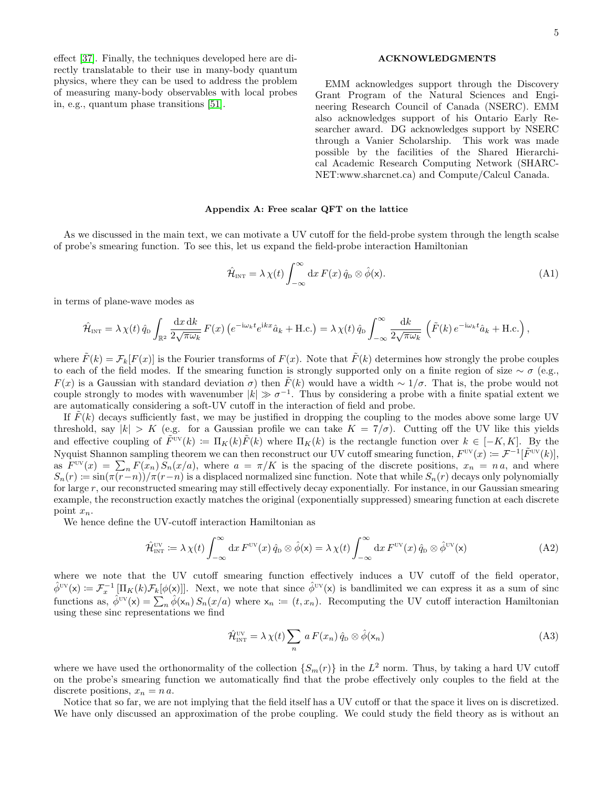5

### ACKNOWLEDGMENTS

EMM acknowledges support through the Discovery Grant Program of the Natural Sciences and Engineering Research Council of Canada (NSERC). EMM also acknowledges support of his Ontario Early Researcher award. DG acknowledges support by NSERC through a Vanier Scholarship. This work was made possible by the facilities of the Shared Hierarchical Academic Research Computing Network (SHARC-NET:www.sharcnet.ca) and Compute/Calcul Canada.

### <span id="page-4-0"></span>Appendix A: Free scalar QFT on the lattice

As we discussed in the main text, we can motivate a UV cutoff for the field-probe system through the length scalse of probe's smearing function. To see this, let us expand the field-probe interaction Hamiltonian

$$
\hat{\mathcal{H}}_{\text{INT}} = \lambda \chi(t) \int_{-\infty}^{\infty} dx F(x) \hat{q}_{D} \otimes \hat{\phi}(x).
$$
\n(A1)

in terms of plane-wave modes as

effect [\[37\]](#page-8-3). Finally, the techniques developed here are directly translatable to their use in many-body quantum physics, where they can be used to address the problem of measuring many-body observables with local probes

in, e.g., quantum phase transitions [\[51\]](#page-8-18).

$$
\hat{\mathcal{H}}_{\text{INT}} = \lambda \,\chi(t)\,\hat{q}_{\text{D}}\int_{\mathbb{R}^2} \frac{\mathrm{d}x\,\mathrm{d}k}{2\sqrt{\pi\omega_k}}\,F(x)\left(e^{-\mathrm{i}\omega_k t}e^{\mathrm{i}kx}\hat{a}_k + \text{H.c.}\right) = \lambda \,\chi(t)\,\hat{q}_{\text{D}}\int_{-\infty}^{\infty} \frac{\mathrm{d}k}{2\sqrt{\pi\omega_k}}\,\left(\tilde{F}(k)\,e^{-\mathrm{i}\omega_k t}\hat{a}_k + \text{H.c.}\right),
$$

where  $\tilde{F}(k) = \mathcal{F}_k[F(x)]$  is the Fourier transforms of  $F(x)$ . Note that  $\tilde{F}(k)$  determines how strongly the probe couples to each of the field modes. If the smearing function is strongly supported only on a finite region of size  $\sim \sigma$  (e.g.,  $F(x)$  is a Gaussian with standard deviation  $\sigma$ ) then  $\tilde{F}(k)$  would have a width ~ 1/ $\sigma$ . That is, the probe would not couple strongly to modes with wavenumber  $|k| \gg \sigma^{-1}$ . Thus by considering a probe with a finite spatial extent we are automatically considering a soft-UV cutoff in the interaction of field and probe.

If  $\hat{F}(k)$  decays sufficiently fast, we may be justified in dropping the coupling to the modes above some large UV threshold, say  $|k| > K$  (e.g. for a Gaussian profile we can take  $K = 7/\sigma$ ). Cutting off the UV like this yields and effective coupling of  $\tilde{F}^{UV}(k) := \Pi_K(k)\tilde{F}(k)$  where  $\Pi_K(k)$  is the rectangle function over  $k \in [-K, K]$ . By the Nyquist Shannon sampling theorem we can then reconstruct our UV cutoff smearing function,  $F^{vv}(x) = \mathcal{F}^{-1}[\tilde{F}^{vv}(k)]$ , as  $F^{\text{uv}}(x) = \sum_{n} F(x_n) S_n(x/a)$ , where  $a = \pi/K$  is the spacing of the discrete positions,  $x_n = na$ , and where  $S_n(r) := \sin(\pi(r-n))/\pi(r-n)$  is a displaced normalized sinc function. Note that while  $S_n(r)$  decays only polynomially for large r, our reconstructed smearing may still effectively decay exponentially. For instance, in our Gaussian smearing example, the reconstruction exactly matches the original (exponentially suppressed) smearing function at each discrete point  $x_n$ .

We hence define the UV-cutoff interaction Hamiltonian as

$$
\hat{\mathcal{H}}_{\text{INT}}^{\text{UV}} \coloneqq \lambda \,\chi(t) \int_{-\infty}^{\infty} dx \, F^{\text{UV}}(x) \, \hat{q}_D \otimes \hat{\phi}(x) = \lambda \,\chi(t) \int_{-\infty}^{\infty} dx \, F^{\text{UV}}(x) \, \hat{q}_D \otimes \hat{\phi}^{\text{UV}}(x) \tag{A2}
$$

where we note that the UV cutoff smearing function effectively induces a UV cutoff of the field operator,  $\hat{\phi}^{UV}(\mathsf{x}) \coloneqq \mathcal{F}_x^{-1} [\Pi_K(k) \mathcal{F}_k[\phi(\mathsf{x})]]$ . Next, we note that since  $\hat{\phi}^{UV}(\mathsf{x})$  is bandlimited we can express it as a sum of sinc functions as,  $\hat{\phi}^{UV}(x) = \sum_{n} \hat{\phi}(x_n) S_n(x/a)$  where  $x_n := (t, x_n)$ . Recomputing the UV cutoff interaction Hamiltonian using these sinc representations we find

$$
\hat{\mathcal{H}}_{\text{INT}}^{\text{UV}} = \lambda \,\chi(t) \sum_{n} a \, F(x_n) \, \hat{q}_{\text{D}} \otimes \hat{\phi}(\mathbf{x}_n) \tag{A3}
$$

where we have used the orthonormality of the collection  $\{S_m(r)\}\$ in the  $L^2$  norm. Thus, by taking a hard UV cutoff on the probe's smearing function we automatically find that the probe effectively only couples to the field at the discrete positions,  $x_n = n a$ .

Notice that so far, we are not implying that the field itself has a UV cutoff or that the space it lives on is discretized. We have only discussed an approximation of the probe coupling. We could study the field theory as is without an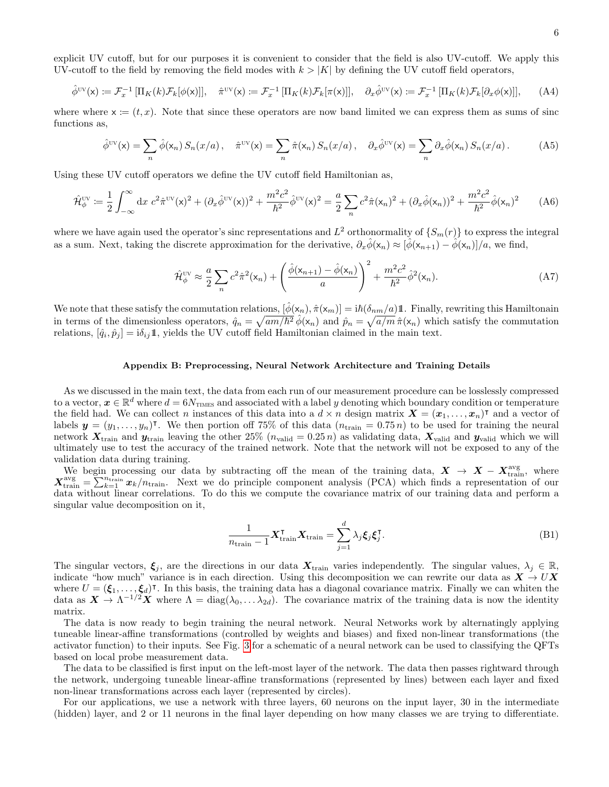explicit UV cutoff, but for our purposes it is convenient to consider that the field is also UV-cutoff. We apply this UV-cutoff to the field by removing the field modes with  $k > |K|$  by defining the UV cutoff field operators,

$$
\hat{\phi}^{\text{UV}}(\mathsf{x}) \coloneqq \mathcal{F}_x^{-1} \left[ \Pi_K(k) \mathcal{F}_k[\phi(\mathsf{x})] \right], \quad \hat{\pi}^{\text{UV}}(\mathsf{x}) \coloneqq \mathcal{F}_x^{-1} \left[ \Pi_K(k) \mathcal{F}_k[\pi(\mathsf{x})] \right], \quad \partial_x \hat{\phi}^{\text{UV}}(\mathsf{x}) \coloneqq \mathcal{F}_x^{-1} \left[ \Pi_K(k) \mathcal{F}_k[\partial_x \phi(\mathsf{x})] \right], \tag{A4}
$$

where where  $x := (t, x)$ . Note that since these operators are now band limited we can express them as sums of sinc functions as,

$$
\hat{\phi}^{\text{UV}}(\mathsf{x}) = \sum_{n} \hat{\phi}(\mathsf{x}_{n}) \, S_{n}(x/a) \, , \quad \hat{\pi}^{\text{UV}}(\mathsf{x}) = \sum_{n} \hat{\pi}(\mathsf{x}_{n}) \, S_{n}(x/a) \, , \quad \partial_{x} \hat{\phi}^{\text{UV}}(\mathsf{x}) = \sum_{n} \partial_{x} \hat{\phi}(\mathsf{x}_{n}) \, S_{n}(x/a) \, . \tag{A5}
$$

Using these UV cutoff operators we define the UV cutoff field Hamiltonian as,

$$
\hat{\mathcal{H}}_{\phi}^{\text{UV}} \coloneqq \frac{1}{2} \int_{-\infty}^{\infty} dx \ c^2 \hat{\pi}^{\text{UV}}(x)^2 + (\partial_x \hat{\phi}^{\text{UV}}(x))^2 + \frac{m^2 c^2}{\hbar^2} \hat{\phi}^{\text{UV}}(x)^2 = \frac{a}{2} \sum_{n} c^2 \hat{\pi}(x_n)^2 + (\partial_x \hat{\phi}(x_n))^2 + \frac{m^2 c^2}{\hbar^2} \hat{\phi}(x_n)^2 \tag{A6}
$$

where we have again used the operator's sinc representations and  $L^2$  orthonormality of  $\{S_m(r)\}$  to express the integral as a sum. Next, taking the discrete approximation for the derivative,  $\partial_x \hat{\phi}(x_n) \approx [\hat{\phi}(x_{n+1}) - \hat{\phi}(x_n)]/a$ , we find,

$$
\hat{\mathcal{H}}_{\phi}^{\text{UV}} \approx \frac{a}{2} \sum_{n} c^2 \hat{\pi}^2(\mathbf{x}_n) + \left(\frac{\hat{\phi}(\mathbf{x}_{n+1}) - \hat{\phi}(\mathbf{x}_n)}{a}\right)^2 + \frac{m^2 c^2}{\hbar^2} \hat{\phi}^2(\mathbf{x}_n). \tag{A7}
$$

We note that these satisfy the commutation relations,  $[\phi(x_n), \hat{\pi}(x_m)] = i\hbar(\delta_{nm}/a)1$ . Finally, rewriting this Hamiltonain in terms of the dimensionless operators,  $\hat{q}_n = \sqrt{am/\hbar^2} \hat{\phi}(\mathsf{x}_n)$  and  $\hat{p}_n = \sqrt{a/m} \hat{\pi}(\mathsf{x}_n)$  which satisfy the commutation relations,  $[\hat{q}_i, \hat{p}_j] = i\delta_{ij} \mathbb{1}$ , yields the UV cutoff field Hamiltonian claimed in the main text.

### <span id="page-5-0"></span>Appendix B: Preprocessing, Neural Network Architecture and Training Details

As we discussed in the main text, the data from each run of our measurement procedure can be losslessly compressed to a vector,  $x \in \mathbb{R}^d$  where  $d = 6N_{\text{TIMES}}$  and associated with a label y denoting which boundary condition or temperature the field had. We can collect n instances of this data into a  $d \times n$  design matrix  $\mathbf{X} = (\mathbf{x}_1, \dots, \mathbf{x}_n)^\intercal$  and a vector of labels  $y = (y_1, \ldots, y_n)^\intercal$ . We then portion off 75% of this data  $(n_{\text{train}} = 0.75 n)$  to be used for training the neural network  $X_{\text{train}}$  and  $y_{\text{train}}$  leaving the other 25%  $(n_{\text{valid}} = 0.25 n)$  as validating data,  $X_{\text{valid}}$  and  $y_{\text{valid}}$  which we will ultimately use to test the accuracy of the trained network. Note that the network will not be exposed to any of the validation data during training.

We begin processing our data by subtracting off the mean of the training data,  $X \to X - X_{\text{train}}^{\text{avg}}$ , where  $X_{\text{train}}^{\text{avg}} = \sum_{k=1}^{n_{\text{train}}} x_k/n_{\text{train}}$ . Next we do principle component analysis (PCA) which finds a representation of our data without linear correlations. To do this we compute the covariance matrix of our training data and perform a singular value decomposition on it,

$$
\frac{1}{n_{\text{train}} - 1} \mathbf{X}_{\text{train}}^{\mathsf{T}} \mathbf{X}_{\text{train}} = \sum_{j=1}^{d} \lambda_j \xi_j \xi_j^{\mathsf{T}}.
$$
\n(B1)

The singular vectors,  $\xi_i$ , are the directions in our data  $X_{train}$  varies independently. The singular values,  $\lambda_i \in \mathbb{R}$ , indicate "how much" variance is in each direction. Using this decomposition we can rewrite our data as  $X \to U X$ where  $U = (\xi_1, \ldots, \xi_d)^\intercal$ . In this basis, the training data has a diagonal covariance matrix. Finally we can whiten the data as  $X \to \Lambda^{-1/2} X$  where  $\Lambda = \text{diag}(\lambda_0, \ldots \lambda_{2d})$ . The covariance matrix of the training data is now the identity matrix.

The data is now ready to begin training the neural network. Neural Networks work by alternatingly applying tuneable linear-affine transformations (controlled by weights and biases) and fixed non-linear transformations (the activator function) to their inputs. See Fig. [3](#page-6-1) for a schematic of a neural network can be used to classifying the QFTs based on local probe measurement data.

The data to be classified is first input on the left-most layer of the network. The data then passes rightward through the network, undergoing tuneable linear-affine transformations (represented by lines) between each layer and fixed non-linear transformations across each layer (represented by circles).

For our applications, we use a network with three layers, 60 neurons on the input layer, 30 in the intermediate (hidden) layer, and 2 or 11 neurons in the final layer depending on how many classes we are trying to differentiate.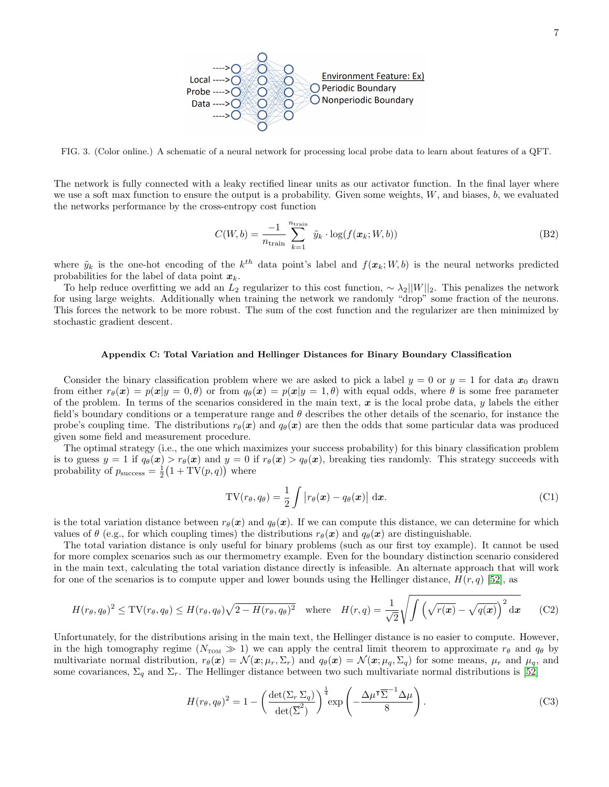

<span id="page-6-1"></span>FIG. 3. (Color online.) A schematic of a neural network for processing local probe data to learn about features of a QFT.

The network is fully connected with a leaky rectified linear units as our activator function. In the final layer where we use a soft max function to ensure the output is a probability. Given some weights,  $W$ , and biases,  $b$ , we evaluated the networks performance by the cross-entropy cost function

$$
C(W, b) = \frac{-1}{n_{\text{train}}} \sum_{k=1}^{n_{\text{train}}} \tilde{y}_k \cdot \log(f(\boldsymbol{x}_k; W, b))
$$
(B2)

where  $\tilde{y}_k$  is the one-hot encoding of the  $k^{th}$  data point's label and  $f(x_k; W, b)$  is the neural networks predicted probabilities for the label of data point  $x_k$ .

To help reduce overfitting we add an L<sub>2</sub> regularizer to this cost function,  $\sim \lambda_2||W||_2$ . This penalizes the network for using large weights. Additionally when training the network we randomly "drop" some fraction of the neurons. This forces the network to be more robust. The sum of the cost function and the regularizer are then minimized by stochastic gradient descent.

## <span id="page-6-0"></span>Appendix C: Total Variation and Hellinger Distances for Binary Boundary Classification

Consider the binary classification problem where we are asked to pick a label  $y = 0$  or  $y = 1$  for data  $x_0$  drawn from either  $r_{\theta}(\mathbf{x}) = p(\mathbf{x}|y = 0, \theta)$  or from  $q_{\theta}(\mathbf{x}) = p(\mathbf{x}|y = 1, \theta)$  with equal odds, where  $\theta$  is some free parameter of the problem. In terms of the scenarios considered in the main text,  $x$  is the local probe data, y labels the either field's boundary conditions or a temperature range and  $\theta$  describes the other details of the scenario, for instance the probe's coupling time. The distributions  $r_{\theta}(x)$  and  $q_{\theta}(x)$  are then the odds that some particular data was produced given some field and measurement procedure.

The optimal strategy (i.e., the one which maximizes your success probability) for this binary classification problem is to guess  $y = 1$  if  $q_\theta(x) > r_\theta(x)$  and  $y = 0$  if  $r_\theta(x) > q_\theta(x)$ , breaking ties randomly. This strategy succeeds with probability of  $p_{\text{success}} = \frac{1}{2}(1 + \text{TV}(p, q))$  where

$$
TV(r_{\theta}, q_{\theta}) = \frac{1}{2} \int |r_{\theta}(\boldsymbol{x}) - q_{\theta}(\boldsymbol{x})| \, d\boldsymbol{x}.
$$
 (C1)

is the total variation distance between  $r_{\theta}(\mathbf{x})$  and  $q_{\theta}(\mathbf{x})$ . If we can compute this distance, we can determine for which values of  $\theta$  (e.g., for which coupling times) the distributions  $r_{\theta}(\boldsymbol{x})$  and  $q_{\theta}(\boldsymbol{x})$  are distinguishable.

The total variation distance is only useful for binary problems (such as our first toy example). It cannot be used for more complex scenarios such as our thermometry example. Even for the boundary distinction scenario considered in the main text, calculating the total variation distance directly is infeasible. An alternate approach that will work for one of the scenarios is to compute upper and lower bounds using the Hellinger distance,  $H(r, q)$  [\[52\]](#page-8-19), as

$$
H(r_{\theta}, q_{\theta})^2 \leq \text{TV}(r_{\theta}, q_{\theta}) \leq H(r_{\theta}, q_{\theta})\sqrt{2 - H(r_{\theta}, q_{\theta})^2} \quad \text{where} \quad H(r, q) = \frac{1}{\sqrt{2}}\sqrt{\int \left(\sqrt{r(x)} - \sqrt{q(x)}\right)^2 dx} \tag{C2}
$$

Unfortunately, for the distributions arising in the main text, the Hellinger distance is no easier to compute. However, in the high tomography regime ( $N_{\text{TOM}} \gg 1$ ) we can apply the central limit theorem to approximate  $r_{\theta}$  and  $q_{\theta}$  by multivariate normal distribution,  $r_{\theta}(\boldsymbol{x}) = \mathcal{N}(\boldsymbol{x}; \mu_r, \Sigma_r)$  and  $q_{\theta}(\boldsymbol{x}) = \mathcal{N}(\boldsymbol{x}; \mu_q, \Sigma_q)$  for some means,  $\mu_r$  and  $\mu_q$ , and some covariances,  $\Sigma_q$  and  $\Sigma_r$ . The Hellinger distance between two such multivariate normal distributions is [\[52\]](#page-8-19)

$$
H(r_{\theta}, q_{\theta})^2 = 1 - \left(\frac{\det(\Sigma_r \Sigma_q)}{\det(\overline{\Sigma}^2)}\right)^{\frac{1}{4}} \exp\left(-\frac{\Delta\mu^{\dagger}\overline{\Sigma}^{-1}\Delta\mu}{8}\right).
$$
 (C3)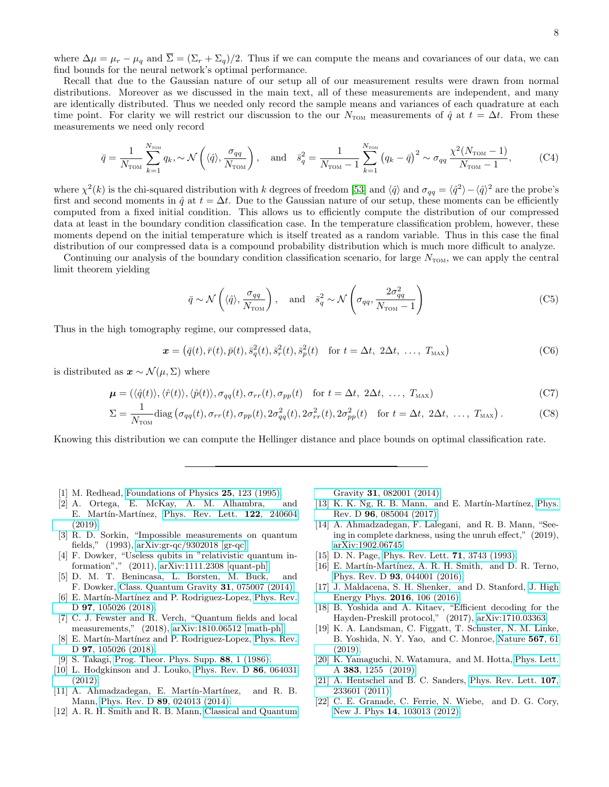where  $\Delta\mu = \mu_r - \mu_q$  and  $\overline{\Sigma} = (\Sigma_r + \Sigma_q)/2$ . Thus if we can compute the means and covariances of our data, we can find bounds for the neural network's optimal performance.

Recall that due to the Gaussian nature of our setup all of our measurement results were drawn from normal distributions. Moreover as we discussed in the main text, all of these measurements are independent, and many are identically distributed. Thus we needed only record the sample means and variances of each quadrature at each time point. For clarity we will restrict our discussion to the our  $N_{\text{TOM}}$  measurements of  $\hat{q}$  at  $t = \Delta t$ . From these measurements we need only record

$$
\bar{q} = \frac{1}{N_{\text{TOM}}} \sum_{k=1}^{N_{\text{TOM}}} q_k, \sim \mathcal{N}\left(\langle \hat{q} \rangle, \frac{\sigma_{qq}}{N_{\text{TOM}}}\right), \quad \text{and} \quad \bar{s}_q^2 = \frac{1}{N_{\text{TOM}} - 1} \sum_{k=1}^{N_{\text{TOM}}} \left(q_k - \bar{q}\right)^2 \sim \sigma_{qq} \frac{\chi^2(N_{\text{TOM}} - 1)}{N_{\text{TOM}} - 1},\tag{C4}
$$

where  $\chi^2(k)$  is the chi-squared distribution with k degrees of freedom [\[53\]](#page-8-20) and  $\langle \hat{q} \rangle$  and  $\sigma_{qq} = \langle \hat{q}^2 \rangle - \langle \hat{q} \rangle^2$  are the probe's first and second moments in  $\hat{q}$  at  $t = \Delta t$ . Due to the Gaussian nature of our setup, these moments can be efficiently computed from a fixed initial condition. This allows us to efficiently compute the distribution of our compressed data at least in the boundary condition classification case. In the temperature classification problem, however, these moments depend on the initial temperature which is itself treated as a random variable. Thus in this case the final distribution of our compressed data is a compound probability distribution which is much more difficult to analyze.

Continuing our analysis of the boundary condition classification scenario, for large  $N_{\text{TOM}}$ , we can apply the central limit theorem yielding

$$
\bar{q} \sim \mathcal{N}\left(\langle \hat{q} \rangle, \frac{\sigma_{qq}}{N_{\text{TON}}}\right), \text{ and } \bar{s}_q^2 \sim \mathcal{N}\left(\sigma_{qq}, \frac{2\sigma_{qq}^2}{N_{\text{TON}} - 1}\right)
$$
\n(C5)

Thus in the high tomography regime, our compressed data,

$$
\boldsymbol{x} = \left(\bar{q}(t), \bar{r}(t), \bar{p}(t), \bar{s}_q^2(t), \bar{s}_r^2(t), \bar{s}_p^2(t)\right) \quad \text{for } t = \Delta t, \ 2\Delta t, \ \dots, \ T_{\text{MAX}}\right) \tag{C6}
$$

is distributed as  $\mathbf{x} \sim \mathcal{N}(\mu, \Sigma)$  where

$$
\boldsymbol{\mu} = (\langle \hat{q}(t) \rangle, \langle \hat{r}(t) \rangle, \langle \hat{p}(t) \rangle, \sigma_{qq}(t), \sigma_{rr}(t), \sigma_{pp}(t) \quad \text{for } t = \Delta t, 2\Delta t, \dots, T_{\text{MAX}})
$$
(C7)

$$
\Sigma = \frac{1}{N_{\text{TOM}}} \text{diag}\left(\sigma_{qq}(t), \sigma_{rr}(t), \sigma_{pp}(t), 2\sigma_{qq}^2(t), 2\sigma_{rr}^2(t), 2\sigma_{pp}^2(t)\right) \quad \text{for } t = \Delta t, \ 2\Delta t, \ \dots, \ T_{\text{MAX}}\right). \tag{C8}
$$

Knowing this distribution we can compute the Hellinger distance and place bounds on optimal classification rate.

- <span id="page-7-0"></span>[1] M. Redhead, [Foundations of Physics](http://dx.doi.org/10.1007/BF02054660) 25, 123 (1995).
- <span id="page-7-1"></span>[2] A. Ortega, E. McKay, A. M. Alhambra, and E. Martín-Martínez, [Phys. Rev. Lett.](http://dx.doi.org/ 10.1103/PhysRevLett.122.240604) 122, 240604 [\(2019\).](http://dx.doi.org/ 10.1103/PhysRevLett.122.240604)
- <span id="page-7-2"></span>[3] R. D. Sorkin, "Impossible measurements on quantum fields," (1993), [arXiv:gr-qc/9302018 \[gr-qc\].](http://arxiv.org/abs/gr-qc/9302018)
- [4] F. Dowker, "Useless qubits in "relativistic quantum information"," (2011), [arXiv:1111.2308 \[quant-ph\].](http://arxiv.org/abs/1111.2308)
- <span id="page-7-3"></span>[5] D. M. T. Benincasa, L. Borsten, M. Buck, and F. Dowker, [Class. Quantum Gravity](http://dx.doi.org/10.1088/0264-9381/31/7/075007) 31, 075007 (2014).
- <span id="page-7-4"></span>[6] E. Martín-Martínez and P. Rodriguez-Lopez, [Phys. Rev.](http://dx.doi.org/ 10.1103/PhysRevD.97.105026) D **97**[, 105026 \(2018\).](http://dx.doi.org/ 10.1103/PhysRevD.97.105026)
- <span id="page-7-5"></span>[7] C. J. Fewster and R. Verch, "Quantum fields and local measurements," (2018), [arXiv:1810.06512 \[math-ph\].](http://arxiv.org/abs/1810.06512)
- <span id="page-7-6"></span>[8] E. Martín-Martínez and P. Rodriguez-Lopez, [Phys. Rev.](http://dx.doi.org/ 10.1103/PhysRevD.97.105026) D 97[, 105026 \(2018\).](http://dx.doi.org/ 10.1103/PhysRevD.97.105026)
- <span id="page-7-7"></span>[9] S. Takagi, [Prog. Theor. Phys. Supp.](http://dx.doi.org/10.1143/PTP.88.1) 88, 1 (1986).
- [10] L. Hodgkinson and J. Louko, [Phys. Rev. D](http://dx.doi.org/10.1103/PhysRevD.86.064031) 86, 064031 [\(2012\).](http://dx.doi.org/10.1103/PhysRevD.86.064031)
- <span id="page-7-12"></span>[11] A. Ahmadzadegan, E. Martín-Martínez, and R. B. Mann, Phys. Rev. D 89[, 024013 \(2014\).](http://dx.doi.org/10.1103/PhysRevD.89.024013)
- <span id="page-7-14"></span>[12] A. R. H. Smith and R. B. Mann, [Classical and Quantum](http://dx.doi.org/10.1088/0264-9381/31/8/082001)

Gravity 31[, 082001 \(2014\).](http://dx.doi.org/10.1088/0264-9381/31/8/082001)

- <span id="page-7-13"></span>[13] K. K. Ng, R. B. Mann, and E. Martín-Martínez, [Phys.](http://dx.doi.org/10.1103/PhysRevD.96.085004) Rev. D 96[, 085004 \(2017\).](http://dx.doi.org/10.1103/PhysRevD.96.085004)
- <span id="page-7-8"></span>[14] A. Ahmadzadegan, F. Lalegani, and R. B. Mann, "Seeing in complete darkness, using the unruh effect," (2019), [arXiv:1902.06745.](http://arxiv.org/abs/1902.06745)
- <span id="page-7-9"></span>[15] D. N. Page, [Phys. Rev. Lett.](http://dx.doi.org/10.1103/PhysRevLett.71.3743) **71**, 3743 (1993).
- [16] E. Martín-Martínez, A. R. H. Smith, and D. R. Terno, Phys. Rev. D 93[, 044001 \(2016\).](http://dx.doi.org/10.1103/PhysRevD.93.044001)
- [17] J. Maldacena, S. H. Shenker, and D. Stanford, [J. High](http://dx.doi.org/10.1007/JHEP08(2016)106) [Energy Phys.](http://dx.doi.org/10.1007/JHEP08(2016)106) 2016, 106 (2016).
- [18] B. Yoshida and A. Kitaev, "Efficient decoding for the Hayden-Preskill protocol," (2017), [arXiv:1710.03363.](http://arxiv.org/abs/1710.03363)
- [19] K. A. Landsman, C. Figgatt, T. Schuster, N. M. Linke, B. Yoshida, N. Y. Yao, and C. Monroe, [Nature](http://dx.doi.org/10.1038/s41586-019-0952-6) 567, 61 [\(2019\).](http://dx.doi.org/10.1038/s41586-019-0952-6)
- <span id="page-7-10"></span>[20] K. Yamaguchi, N. Watamura, and M. Hotta, [Phys. Lett.](http://dx.doi.org/10.1016/j.physleta.2019.01.036) A 383[, 1255 \(2019\).](http://dx.doi.org/10.1016/j.physleta.2019.01.036)
- <span id="page-7-11"></span>[21] A. Hentschel and B. C. Sanders, [Phys. Rev. Lett.](http://dx.doi.org/10.1103/PhysRevLett.107.233601) 107, [233601 \(2011\).](http://dx.doi.org/10.1103/PhysRevLett.107.233601)
- [22] C. E. Granade, C. Ferrie, N. Wiebe, and D. G. Cory, New J. Phys 14[, 103013 \(2012\).](http://dx.doi.org/ 10.1088/1367-2630/14/10/103013)